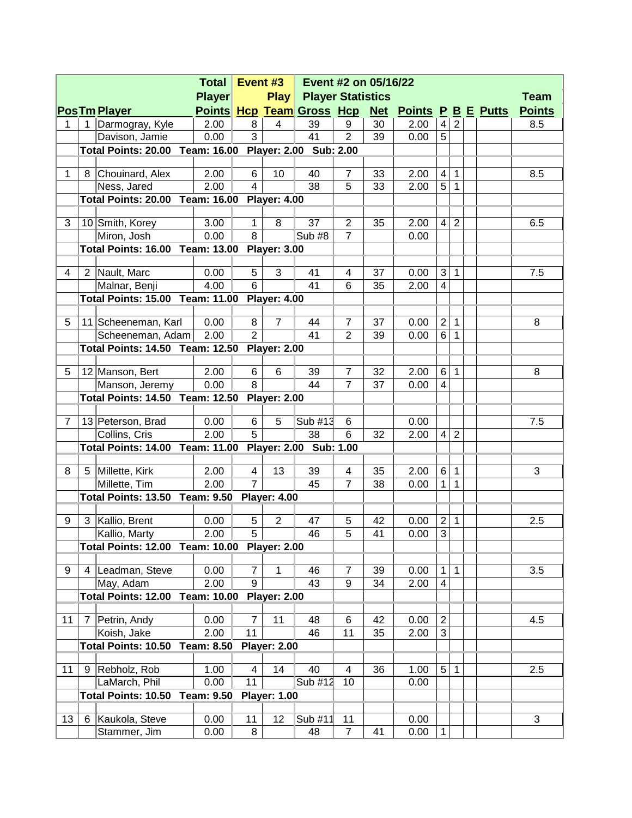| <b>Total</b>  |                                              |                                                        |                   |                     | Event #3 $\parallel$<br>Event #2 on 05/16/22 |         |                |    |                                                  |                |                |  |  |               |
|---------------|----------------------------------------------|--------------------------------------------------------|-------------------|---------------------|----------------------------------------------|---------|----------------|----|--------------------------------------------------|----------------|----------------|--|--|---------------|
| <b>Player</b> |                                              |                                                        |                   |                     | <b>Play Player Statistics</b>                |         |                |    |                                                  |                |                |  |  | <b>Team</b>   |
|               |                                              | <b>PosTm Player</b>                                    |                   |                     |                                              |         |                |    | Points Hcp Team Gross Hcp Net Points P B E Putts |                |                |  |  | <b>Points</b> |
| 1             | $\mathbf 1$                                  | Darmogray, Kyle                                        | 2.00              | 8                   | 4                                            | 39      | 9              | 30 | 2.00                                             | 4              | $\overline{2}$ |  |  | 8.5           |
|               |                                              | Davison, Jamie                                         | 0.00              | $\overline{3}$      |                                              | 41      | $\overline{2}$ | 39 | 0.00                                             | 5              |                |  |  |               |
|               |                                              | Total Points: 20.00 Team: 16.00 Player: 2.00 Sub: 2.00 |                   |                     |                                              |         |                |    |                                                  |                |                |  |  |               |
|               |                                              |                                                        |                   |                     |                                              |         |                |    |                                                  |                |                |  |  |               |
| 1             |                                              | 8 Chouinard, Alex                                      | 2.00              | 6                   | 10                                           | 40      | 7              | 33 | 2.00                                             | 4              | $\mathbf{1}$   |  |  | 8.5           |
|               |                                              | Ness, Jared                                            | 2.00              | $\overline{4}$      |                                              | 38      | 5              | 33 | 2.00                                             | 5              | $\mathbf{1}$   |  |  |               |
|               |                                              | Total Points: 20.00 Team: 16.00 Player: 4.00           |                   |                     |                                              |         |                |    |                                                  |                |                |  |  |               |
| 3             |                                              | 10 Smith, Korey                                        | 3.00              | 1                   | 8                                            | 37      | $\overline{2}$ | 35 | 2.00                                             | 4              | 2              |  |  | 6.5           |
|               |                                              | Miron, Josh                                            | 0.00              | 8                   |                                              | Sub #8  | $\overline{7}$ |    | 0.00                                             |                |                |  |  |               |
|               |                                              | Total Points: 16.00 Team: 13.00 Player: 3.00           |                   |                     |                                              |         |                |    |                                                  |                |                |  |  |               |
|               |                                              |                                                        |                   |                     |                                              |         |                |    |                                                  |                |                |  |  |               |
| 4             |                                              | 2 Nault, Marc                                          | 0.00              | 5                   | 3                                            | 41      | 4              | 37 | 0.00                                             | 3              | $\mathbf{1}$   |  |  | 7.5           |
|               |                                              | Malnar, Benji                                          | 4.00              | 6                   |                                              | 41      | 6              | 35 | 2.00                                             | 4              |                |  |  |               |
|               |                                              | Total Points: 15.00 Team: 11.00 Player: 4.00           |                   |                     |                                              |         |                |    |                                                  |                |                |  |  |               |
|               |                                              |                                                        |                   |                     |                                              |         |                |    |                                                  |                |                |  |  |               |
| 5             |                                              | 11 Scheeneman, Karl                                    | 0.00              | 8                   | $\overline{7}$                               | 44      | 7              | 37 | 0.00                                             | $\mathbf{2}$   | 1              |  |  | 8             |
|               |                                              | Scheeneman, Adam                                       | 2.00              | $\overline{2}$      |                                              | 41      | $\overline{2}$ | 39 | 0.00                                             | 6              | $\mathbf{1}$   |  |  |               |
|               |                                              | Total Points: 14.50 Team: 12.50 Player: 2.00           |                   |                     |                                              |         |                |    |                                                  |                |                |  |  |               |
|               |                                              |                                                        |                   |                     |                                              |         |                |    |                                                  |                |                |  |  |               |
| 5             |                                              | 12 Manson, Bert                                        | 2.00              | 6                   | 6                                            | 39      | $\overline{7}$ | 32 | 2.00                                             | 6              | $\mathbf{1}$   |  |  | 8             |
|               |                                              | Manson, Jeremy                                         | 0.00              | 8                   |                                              | 44      | $\overline{7}$ | 37 | 0.00                                             | 4              |                |  |  |               |
|               |                                              | Total Points: 14.50 Team: 12.50 Player: 2.00           |                   |                     |                                              |         |                |    |                                                  |                |                |  |  |               |
| 7             |                                              | 13 Peterson, Brad                                      | 0.00              | 6                   | 5                                            | Sub #13 | 6              |    | 0.00                                             |                |                |  |  | 7.5           |
|               |                                              | Collins, Cris                                          | 2.00              | 5                   |                                              | 38      | 6              | 32 | 2.00                                             | 4              | $\overline{2}$ |  |  |               |
|               |                                              | Total Points: 14.00 Team: 11.00 Player: 2.00 Sub: 1.00 |                   |                     |                                              |         |                |    |                                                  |                |                |  |  |               |
|               |                                              |                                                        |                   |                     |                                              |         |                |    |                                                  |                |                |  |  |               |
| 8             | 5                                            | Millette, Kirk                                         | 2.00              | 4                   | 13                                           | 39      | 4              | 35 | 2.00                                             | 6              | $\mathbf{1}$   |  |  | 3             |
|               |                                              | Millette, Tim                                          | 2.00              | $\overline{7}$      |                                              | 45      | $\overline{7}$ | 38 | 0.00                                             | $\mathbf 1$    | $\mathbf{1}$   |  |  |               |
|               | Total Points: 13.50 Team: 9.50 Player: 4.00  |                                                        |                   |                     |                                              |         |                |    |                                                  |                |                |  |  |               |
|               |                                              |                                                        |                   |                     |                                              |         |                |    |                                                  |                |                |  |  |               |
| 9             | 3                                            | Kallio, Brent                                          | 0.00              | 5                   | 2                                            | 47      | 5              | 42 | 0.00                                             | $\overline{2}$ | $\mathbf{1}$   |  |  | 2.5           |
|               |                                              | Kallio, Marty                                          | 2.00              | 5                   |                                              | 46      | 5              | 41 | 0.00                                             | 3              |                |  |  |               |
|               | Total Points: 12.00 Team: 10.00 Player: 2.00 |                                                        |                   |                     |                                              |         |                |    |                                                  |                |                |  |  |               |
| 9             | 4                                            | Leadman, Steve                                         | 0.00              | 7                   | $\mathbf{1}$                                 | 46      | 7              | 39 | 0.00                                             | 1              | $\mathbf 1$    |  |  | 3.5           |
|               |                                              | May, Adam                                              | 2.00              | 9                   |                                              | 43      | 9              | 34 | 2.00                                             | 4              |                |  |  |               |
|               |                                              | <b>Total Points: 12.00</b>                             | Team: 10.00       |                     | <b>Player: 2.00</b>                          |         |                |    |                                                  |                |                |  |  |               |
|               |                                              |                                                        |                   |                     |                                              |         |                |    |                                                  |                |                |  |  |               |
| 11            | 7                                            | Petrin, Andy                                           | 0.00              | 7                   | 11                                           | 48      | 6              | 42 | 0.00                                             | 2              |                |  |  | 4.5           |
|               |                                              | Koish, Jake                                            | 2.00              | 11                  |                                              | 46      | 11             | 35 | 2.00                                             | 3              |                |  |  |               |
|               |                                              | <b>Total Points: 10.50</b>                             | <b>Team: 8.50</b> |                     | <b>Player: 2.00</b>                          |         |                |    |                                                  |                |                |  |  |               |
|               |                                              |                                                        |                   |                     |                                              |         |                |    |                                                  |                |                |  |  |               |
| 11            | 9                                            | Rebholz, Rob                                           | 1.00              | 4                   | 14                                           | 40      | 4              | 36 | 1.00                                             | 5              | 1              |  |  | 2.5           |
|               |                                              | LaMarch, Phil                                          | 0.00              | 11                  |                                              | Sub #12 | 10             |    | 0.00                                             |                |                |  |  |               |
|               |                                              | <b>Team: 9.50</b><br><b>Total Points: 10.50</b>        |                   | <b>Player: 1.00</b> |                                              |         |                |    |                                                  |                |                |  |  |               |
|               |                                              |                                                        |                   |                     |                                              |         |                |    |                                                  |                |                |  |  |               |
| 13            | 6                                            | Kaukola, Steve                                         | 0.00              | 11                  | 12                                           | Sub #11 | 11             |    | 0.00                                             |                |                |  |  | 3             |
|               |                                              | Stammer, Jim                                           | 0.00              | 8                   |                                              | 48      | $\overline{7}$ | 41 | 0.00                                             | $\mathbf{1}$   |                |  |  |               |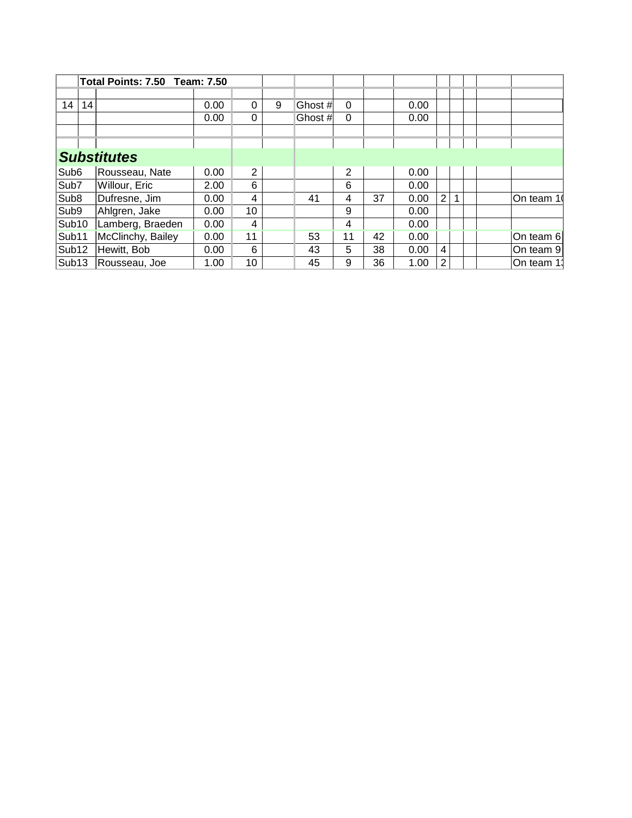|                   | <b>Total Points: 7.50 Team: 7.50</b> |      |                |   |         |          |    |      |                |  |             |
|-------------------|--------------------------------------|------|----------------|---|---------|----------|----|------|----------------|--|-------------|
|                   |                                      |      |                |   |         |          |    |      |                |  |             |
| 14<br>14          |                                      | 0.00 | 0              | 9 | Ghost # | $\Omega$ |    | 0.00 |                |  |             |
|                   |                                      | 0.00 | $\Omega$       |   | Ghost # | $\Omega$ |    | 0.00 |                |  |             |
|                   |                                      |      |                |   |         |          |    |      |                |  |             |
|                   |                                      |      |                |   |         |          |    |      |                |  |             |
|                   | <b>Substitutes</b>                   |      |                |   |         |          |    |      |                |  |             |
| Sub <sub>6</sub>  | Rousseau, Nate                       | 0.00 | $\overline{2}$ |   |         | 2        |    | 0.00 |                |  |             |
| Sub7              | Willour, Eric                        | 2.00 | 6              |   |         | 6        |    | 0.00 |                |  |             |
| Sub <sub>8</sub>  | Dufresne, Jim                        | 0.00 | 4              |   | 41      | 4        | 37 | 0.00 | $\overline{2}$ |  | On team 1   |
| Sub9              | Ahlgren, Jake                        | 0.00 | 10             |   |         | 9        |    | 0.00 |                |  |             |
| Sub <sub>10</sub> | Lamberg, Braeden                     | 0.00 | 4              |   |         | 4        |    | 0.00 |                |  |             |
| Sub11             | McClinchy, Bailey                    | 0.00 | 11             |   | 53      | 11       | 42 | 0.00 |                |  | On team $6$ |
| Sub <sub>12</sub> | Hewitt, Bob                          | 0.00 | 6              |   | 43      | 5        | 38 | 0.00 | 4              |  | On team 9   |
| Sub <sub>13</sub> | Rousseau, Joe                        | 1.00 | 10             |   | 45      | 9        | 36 | 1.00 | 2              |  | On team 11  |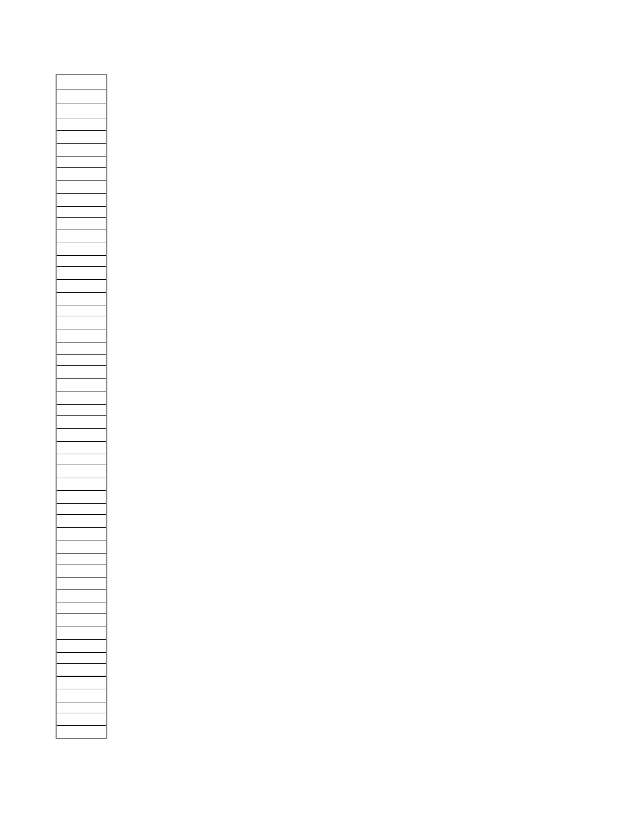